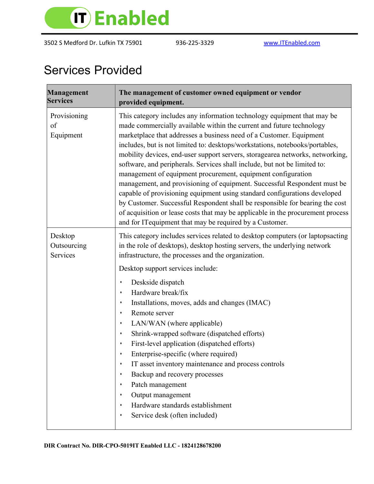

## Services Provided

| <b>Management</b><br><b>Services</b> | The management of customer owned equipment or vendor<br>provided equipment.                                                                                                                                                                                                                                                                                                                                                                                                                                                                                                                                                                                                                                                                                                                                                                                                                                                  |
|--------------------------------------|------------------------------------------------------------------------------------------------------------------------------------------------------------------------------------------------------------------------------------------------------------------------------------------------------------------------------------------------------------------------------------------------------------------------------------------------------------------------------------------------------------------------------------------------------------------------------------------------------------------------------------------------------------------------------------------------------------------------------------------------------------------------------------------------------------------------------------------------------------------------------------------------------------------------------|
| Provisioning<br>of<br>Equipment      | This category includes any information technology equipment that may be<br>made commercially available within the current and future technology<br>marketplace that addresses a business need of a Customer. Equipment<br>includes, but is not limited to: desktops/workstations, notebooks/portables,<br>mobility devices, end-user support servers, storagearea networks, networking,<br>software, and peripherals. Services shall include, but not be limited to:<br>management of equipment procurement, equipment configuration<br>management, and provisioning of equipment. Successful Respondent must be<br>capable of provisioning equipment using standard configurations developed<br>by Customer. Successful Respondent shall be responsible for bearing the cost<br>of acquisition or lease costs that may be applicable in the procurement process<br>and for IT equipment that may be required by a Customer. |
| Desktop<br>Outsourcing<br>Services   | This category includes services related to desktop computers (or laptopsacting<br>in the role of desktops), desktop hosting servers, the underlying network<br>infrastructure, the processes and the organization.<br>Desktop support services include:                                                                                                                                                                                                                                                                                                                                                                                                                                                                                                                                                                                                                                                                      |
|                                      | Deskside dispatch<br>$\bullet$<br>Hardware break/fix<br>$\bullet$<br>Installations, moves, adds and changes (IMAC)<br>$\bullet$<br>Remote server<br>$\bullet$<br>LAN/WAN (where applicable)<br>$\bullet$<br>Shrink-wrapped software (dispatched efforts)<br>$\bullet$<br>First-level application (dispatched efforts)<br>$\bullet$<br>Enterprise-specific (where required)<br>$\bullet$<br>IT asset inventory maintenance and process controls<br>$\bullet$<br>Backup and recovery processes<br>$\bullet$<br>Patch management<br>$\bullet$<br>Output management<br>$\bullet$<br>Hardware standards establishment<br>$\bullet$<br>Service desk (often included)<br>$\bullet$                                                                                                                                                                                                                                                  |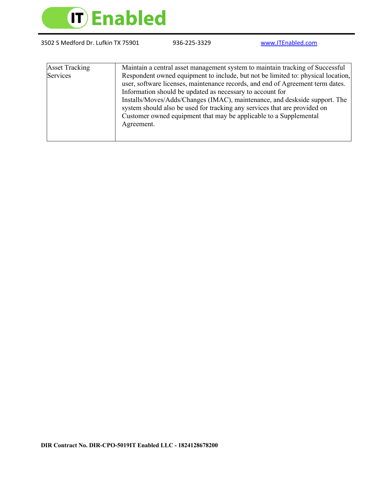

| <b>Asset Tracking</b><br>Services | Maintain a central asset management system to maintain tracking of Successful<br>Respondent owned equipment to include, but not be limited to: physical location,<br>user, software licenses, maintenance records, and end of Agreement term dates.                                                     |
|-----------------------------------|---------------------------------------------------------------------------------------------------------------------------------------------------------------------------------------------------------------------------------------------------------------------------------------------------------|
|                                   | Information should be updated as necessary to account for<br>Installs/Moves/Adds/Changes (IMAC), maintenance, and deskside support. The<br>system should also be used for tracking any services that are provided on<br>Customer owned equipment that may be applicable to a Supplemental<br>Agreement. |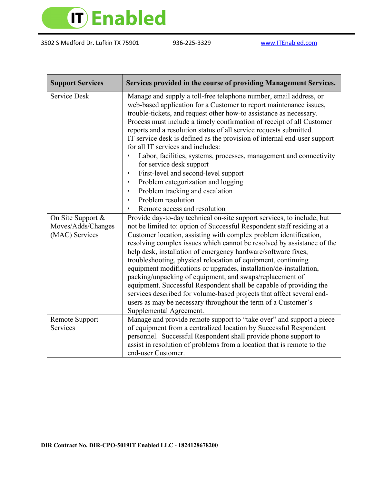

| <b>Support Services</b>                                   | Services provided in the course of providing Management Services.                                                                                                                                                                                                                                                                                                                                                                                                                                                                                                                                                                                                                                                                                                                                              |
|-----------------------------------------------------------|----------------------------------------------------------------------------------------------------------------------------------------------------------------------------------------------------------------------------------------------------------------------------------------------------------------------------------------------------------------------------------------------------------------------------------------------------------------------------------------------------------------------------------------------------------------------------------------------------------------------------------------------------------------------------------------------------------------------------------------------------------------------------------------------------------------|
| <b>Service Desk</b>                                       | Manage and supply a toll-free telephone number, email address, or<br>web-based application for a Customer to report maintenance issues,<br>trouble-tickets, and request other how-to assistance as necessary.<br>Process must include a timely confirmation of receipt of all Customer<br>reports and a resolution status of all service requests submitted.<br>IT service desk is defined as the provision of internal end-user support<br>for all IT services and includes:<br>Labor, facilities, systems, processes, management and connectivity<br>for service desk support<br>First-level and second-level support<br>Problem categorization and logging<br>Problem tracking and escalation<br>Problem resolution<br>Remote access and resolution                                                         |
| On Site Support &<br>Moves/Adds/Changes<br>(MAC) Services | Provide day-to-day technical on-site support services, to include, but<br>not be limited to: option of Successful Respondent staff residing at a<br>Customer location, assisting with complex problem identification,<br>resolving complex issues which cannot be resolved by assistance of the<br>help desk, installation of emergency hardware/software fixes,<br>troubleshooting, physical relocation of equipment, continuing<br>equipment modifications or upgrades, installation/de-installation,<br>packing/unpacking of equipment, and swaps/replacement of<br>equipment. Successful Respondent shall be capable of providing the<br>services described for volume-based projects that affect several end-<br>users as may be necessary throughout the term of a Customer's<br>Supplemental Agreement. |
| Remote Support<br><b>Services</b>                         | Manage and provide remote support to "take over" and support a piece<br>of equipment from a centralized location by Successful Respondent<br>personnel. Successful Respondent shall provide phone support to<br>assist in resolution of problems from a location that is remote to the<br>end-user Customer.                                                                                                                                                                                                                                                                                                                                                                                                                                                                                                   |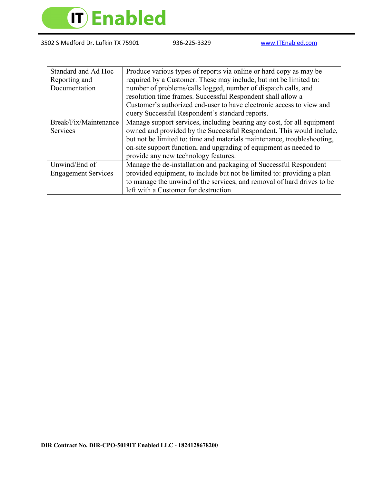

| Standard and Ad Hoc        | Produce various types of reports via online or hard copy as may be      |
|----------------------------|-------------------------------------------------------------------------|
| Reporting and              | required by a Customer. These may include, but not be limited to:       |
| Documentation              | number of problems/calls logged, number of dispatch calls, and          |
|                            | resolution time frames. Successful Respondent shall allow a             |
|                            | Customer's authorized end-user to have electronic access to view and    |
|                            | query Successful Respondent's standard reports.                         |
| Break/Fix/Maintenance      | Manage support services, including bearing any cost, for all equipment  |
| <b>Services</b>            | owned and provided by the Successful Respondent. This would include,    |
|                            | but not be limited to: time and materials maintenance, troubleshooting, |
|                            | on-site support function, and upgrading of equipment as needed to       |
|                            | provide any new technology features.                                    |
| Unwind/End of              | Manage the de-installation and packaging of Successful Respondent       |
| <b>Engagement Services</b> | provided equipment, to include but not be limited to: providing a plan  |
|                            | to manage the unwind of the services, and removal of hard drives to be  |
|                            | left with a Customer for destruction                                    |